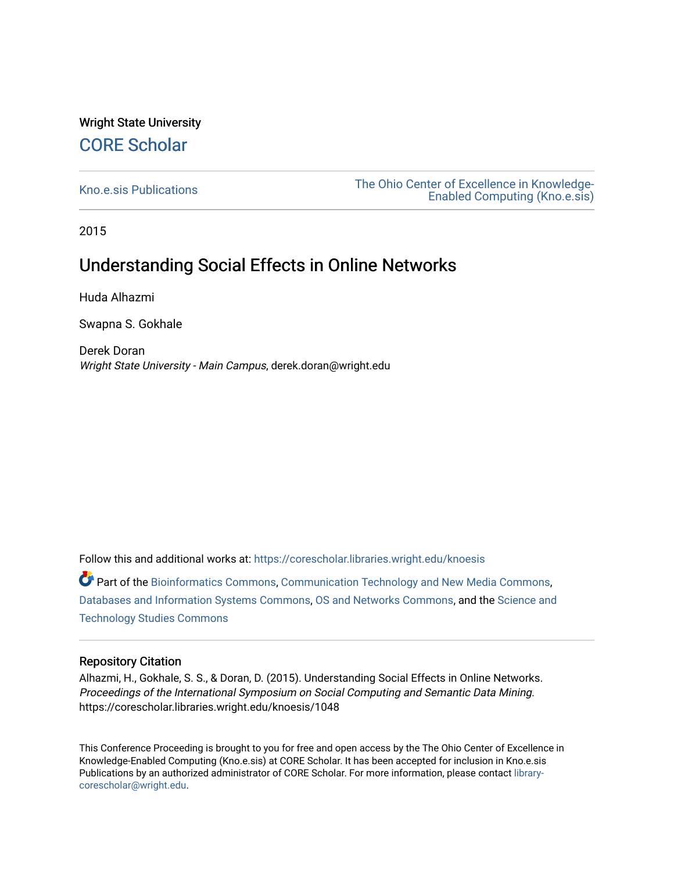## Wright State University [CORE Scholar](https://corescholar.libraries.wright.edu/)

[Kno.e.sis Publications](https://corescholar.libraries.wright.edu/knoesis) [The Ohio Center of Excellence in Knowledge-](https://corescholar.libraries.wright.edu/knoesis_comm)[Enabled Computing \(Kno.e.sis\)](https://corescholar.libraries.wright.edu/knoesis_comm) 

2015

## Understanding Social Effects in Online Networks

Huda Alhazmi

Swapna S. Gokhale

Derek Doran Wright State University - Main Campus, derek.doran@wright.edu

Follow this and additional works at: [https://corescholar.libraries.wright.edu/knoesis](https://corescholar.libraries.wright.edu/knoesis?utm_source=corescholar.libraries.wright.edu%2Fknoesis%2F1048&utm_medium=PDF&utm_campaign=PDFCoverPages) 

Part of the [Bioinformatics Commons,](http://network.bepress.com/hgg/discipline/110?utm_source=corescholar.libraries.wright.edu%2Fknoesis%2F1048&utm_medium=PDF&utm_campaign=PDFCoverPages) [Communication Technology and New Media Commons,](http://network.bepress.com/hgg/discipline/327?utm_source=corescholar.libraries.wright.edu%2Fknoesis%2F1048&utm_medium=PDF&utm_campaign=PDFCoverPages) [Databases and Information Systems Commons](http://network.bepress.com/hgg/discipline/145?utm_source=corescholar.libraries.wright.edu%2Fknoesis%2F1048&utm_medium=PDF&utm_campaign=PDFCoverPages), [OS and Networks Commons](http://network.bepress.com/hgg/discipline/149?utm_source=corescholar.libraries.wright.edu%2Fknoesis%2F1048&utm_medium=PDF&utm_campaign=PDFCoverPages), and the [Science and](http://network.bepress.com/hgg/discipline/435?utm_source=corescholar.libraries.wright.edu%2Fknoesis%2F1048&utm_medium=PDF&utm_campaign=PDFCoverPages) [Technology Studies Commons](http://network.bepress.com/hgg/discipline/435?utm_source=corescholar.libraries.wright.edu%2Fknoesis%2F1048&utm_medium=PDF&utm_campaign=PDFCoverPages) 

### Repository Citation

Alhazmi, H., Gokhale, S. S., & Doran, D. (2015). Understanding Social Effects in Online Networks. Proceedings of the International Symposium on Social Computing and Semantic Data Mining. https://corescholar.libraries.wright.edu/knoesis/1048

This Conference Proceeding is brought to you for free and open access by the The Ohio Center of Excellence in Knowledge-Enabled Computing (Kno.e.sis) at CORE Scholar. It has been accepted for inclusion in Kno.e.sis Publications by an authorized administrator of CORE Scholar. For more information, please contact [library](mailto:library-corescholar@wright.edu)[corescholar@wright.edu](mailto:library-corescholar@wright.edu).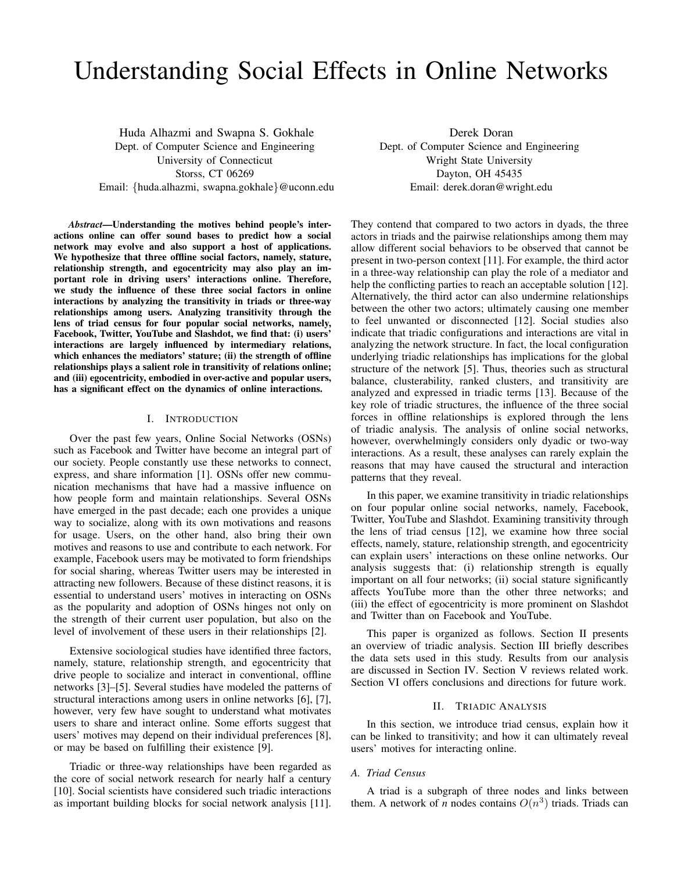# Understanding Social Effects in Online Networks

Huda Alhazmi and Swapna S. Gokhale Dept. of Computer Science and Engineering University of Connecticut Storss, CT 06269 Email: {huda.alhazmi, swapna.gokhale}@uconn.edu

*Abstract*—Understanding the motives behind people's interactions online can offer sound bases to predict how a social network may evolve and also support a host of applications. We hypothesize that three offline social factors, namely, stature, relationship strength, and egocentricity may also play an important role in driving users' interactions online. Therefore, we study the influence of these three social factors in online interactions by analyzing the transitivity in triads or three-way relationships among users. Analyzing transitivity through the lens of triad census for four popular social networks, namely, Facebook, Twitter, YouTube and Slashdot, we find that: (i) users' interactions are largely influenced by intermediary relations, which enhances the mediators' stature; (ii) the strength of offline relationships plays a salient role in transitivity of relations online; and (iii) egocentricity, embodied in over-active and popular users, has a significant effect on the dynamics of online interactions.

#### I. INTRODUCTION

Over the past few years, Online Social Networks (OSNs) such as Facebook and Twitter have become an integral part of our society. People constantly use these networks to connect, express, and share information [1]. OSNs offer new communication mechanisms that have had a massive influence on how people form and maintain relationships. Several OSNs have emerged in the past decade; each one provides a unique way to socialize, along with its own motivations and reasons for usage. Users, on the other hand, also bring their own motives and reasons to use and contribute to each network. For example, Facebook users may be motivated to form friendships for social sharing, whereas Twitter users may be interested in attracting new followers. Because of these distinct reasons, it is essential to understand users' motives in interacting on OSNs as the popularity and adoption of OSNs hinges not only on the strength of their current user population, but also on the level of involvement of these users in their relationships [2].

Extensive sociological studies have identified three factors, namely, stature, relationship strength, and egocentricity that drive people to socialize and interact in conventional, offline networks [3]–[5]. Several studies have modeled the patterns of structural interactions among users in online networks [6], [7], however, very few have sought to understand what motivates users to share and interact online. Some efforts suggest that users' motives may depend on their individual preferences [8], or may be based on fulfilling their existence [9].

Triadic or three-way relationships have been regarded as the core of social network research for nearly half a century [10]. Social scientists have considered such triadic interactions as important building blocks for social network analysis [11].

Derek Doran Dept. of Computer Science and Engineering Wright State University Dayton, OH 45435 Email: derek.doran@wright.edu

They contend that compared to two actors in dyads, the three actors in triads and the pairwise relationships among them may allow different social behaviors to be observed that cannot be present in two-person context [11]. For example, the third actor in a three-way relationship can play the role of a mediator and help the conflicting parties to reach an acceptable solution [12]. Alternatively, the third actor can also undermine relationships between the other two actors; ultimately causing one member to feel unwanted or disconnected [12]. Social studies also indicate that triadic configurations and interactions are vital in analyzing the network structure. In fact, the local configuration underlying triadic relationships has implications for the global structure of the network [5]. Thus, theories such as structural balance, clusterability, ranked clusters, and transitivity are analyzed and expressed in triadic terms [13]. Because of the key role of triadic structures, the influence of the three social forces in offline relationships is explored through the lens of triadic analysis. The analysis of online social networks, however, overwhelmingly considers only dyadic or two-way interactions. As a result, these analyses can rarely explain the reasons that may have caused the structural and interaction patterns that they reveal.

In this paper, we examine transitivity in triadic relationships on four popular online social networks, namely, Facebook, Twitter, YouTube and Slashdot. Examining transitivity through the lens of triad census [12], we examine how three social effects, namely, stature, relationship strength, and egocentricity can explain users' interactions on these online networks. Our analysis suggests that: (i) relationship strength is equally important on all four networks; (ii) social stature significantly affects YouTube more than the other three networks; and (iii) the effect of egocentricity is more prominent on Slashdot and Twitter than on Facebook and YouTube.

This paper is organized as follows. Section II presents an overview of triadic analysis. Section III briefly describes the data sets used in this study. Results from our analysis are discussed in Section IV. Section V reviews related work. Section VI offers conclusions and directions for future work.

#### II. TRIADIC ANALYSIS

In this section, we introduce triad census, explain how it can be linked to transitivity; and how it can ultimately reveal users' motives for interacting online.

#### *A. Triad Census*

A triad is a subgraph of three nodes and links between them. A network of *n* nodes contains  $O(n^3)$  triads. Triads can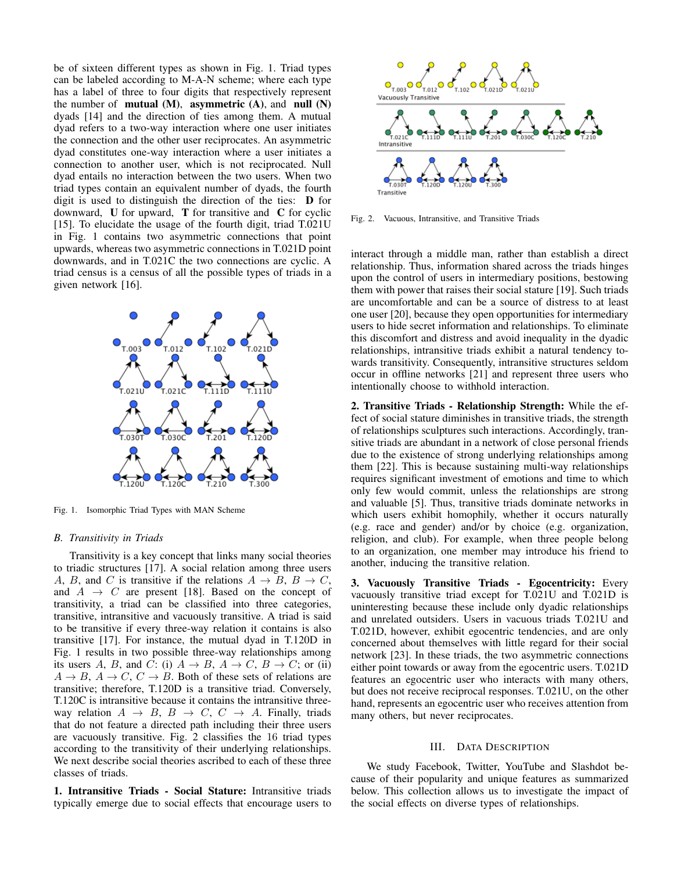be of sixteen different types as shown in Fig. 1. Triad types can be labeled according to M-A-N scheme; where each type has a label of three to four digits that respectively represent the number of **mutual**  $(M)$ , **asymmetric**  $(A)$ , and **null**  $(N)$ dyads [14] and the direction of ties among them. A mutual dyad refers to a two-way interaction where one user initiates the connection and the other user reciprocates. An asymmetric dyad constitutes one-way interaction where a user initiates a connection to another user, which is not reciprocated. Null dyad entails no interaction between the two users. When two triad types contain an equivalent number of dyads, the fourth digit is used to distinguish the direction of the ties: D for downward,  $U$  for upward,  $T$  for transitive and  $C$  for cyclic [15]. To elucidate the usage of the fourth digit, triad T.021U in Fig. 1 contains two asymmetric connections that point upwards, whereas two asymmetric connections in T.021D point downwards, and in T.021C the two connections are cyclic. A triad census is a census of all the possible types of triads in a given network [16].



Fig. 1. Isomorphic Triad Types with MAN Scheme

#### *B. Transitivity in Triads*

Transitivity is a key concept that links many social theories to triadic structures [17]. A social relation among three users A, B, and C is transitive if the relations  $A \rightarrow B$ ,  $B \rightarrow C$ , and  $A \rightarrow C$  are present [18]. Based on the concept of transitivity, a triad can be classified into three categories, transitive, intransitive and vacuously transitive. A triad is said to be transitive if every three-way relation it contains is also transitive [17]. For instance, the mutual dyad in T.120D in Fig. 1 results in two possible three-way relationships among its users A, B, and C: (i)  $A \rightarrow B$ ,  $A \rightarrow C$ ,  $B \rightarrow C$ ; or (ii)  $A \rightarrow B$ ,  $A \rightarrow C$ ,  $C \rightarrow B$ . Both of these sets of relations are transitive; therefore, T.120D is a transitive triad. Conversely, T.120C is intransitive because it contains the intransitive threeway relation  $A \rightarrow B$ ,  $B \rightarrow C$ ,  $C \rightarrow A$ . Finally, triads that do not feature a directed path including their three users are vacuously transitive. Fig. 2 classifies the 16 triad types according to the transitivity of their underlying relationships. We next describe social theories ascribed to each of these three classes of triads.

1. Intransitive Triads - Social Stature: Intransitive triads typically emerge due to social effects that encourage users to



Fig. 2. Vacuous, Intransitive, and Transitive Triads

interact through a middle man, rather than establish a direct relationship. Thus, information shared across the triads hinges upon the control of users in intermediary positions, bestowing them with power that raises their social stature [19]. Such triads are uncomfortable and can be a source of distress to at least one user [20], because they open opportunities for intermediary users to hide secret information and relationships. To eliminate this discomfort and distress and avoid inequality in the dyadic relationships, intransitive triads exhibit a natural tendency towards transitivity. Consequently, intransitive structures seldom occur in offline networks [21] and represent three users who intentionally choose to withhold interaction.

2. Transitive Triads - Relationship Strength: While the effect of social stature diminishes in transitive triads, the strength of relationships sculptures such interactions. Accordingly, transitive triads are abundant in a network of close personal friends due to the existence of strong underlying relationships among them [22]. This is because sustaining multi-way relationships requires significant investment of emotions and time to which only few would commit, unless the relationships are strong and valuable [5]. Thus, transitive triads dominate networks in which users exhibit homophily, whether it occurs naturally (e.g. race and gender) and/or by choice (e.g. organization, religion, and club). For example, when three people belong to an organization, one member may introduce his friend to another, inducing the transitive relation.

3. Vacuously Transitive Triads - Egocentricity: Every vacuously transitive triad except for T.021U and T.021D is uninteresting because these include only dyadic relationships and unrelated outsiders. Users in vacuous triads T.021U and T.021D, however, exhibit egocentric tendencies, and are only concerned about themselves with little regard for their social network [23]. In these triads, the two asymmetric connections either point towards or away from the egocentric users. T.021D features an egocentric user who interacts with many others, but does not receive reciprocal responses. T.021U, on the other hand, represents an egocentric user who receives attention from many others, but never reciprocates.

#### III. DATA DESCRIPTION

We study Facebook, Twitter, YouTube and Slashdot because of their popularity and unique features as summarized below. This collection allows us to investigate the impact of the social effects on diverse types of relationships.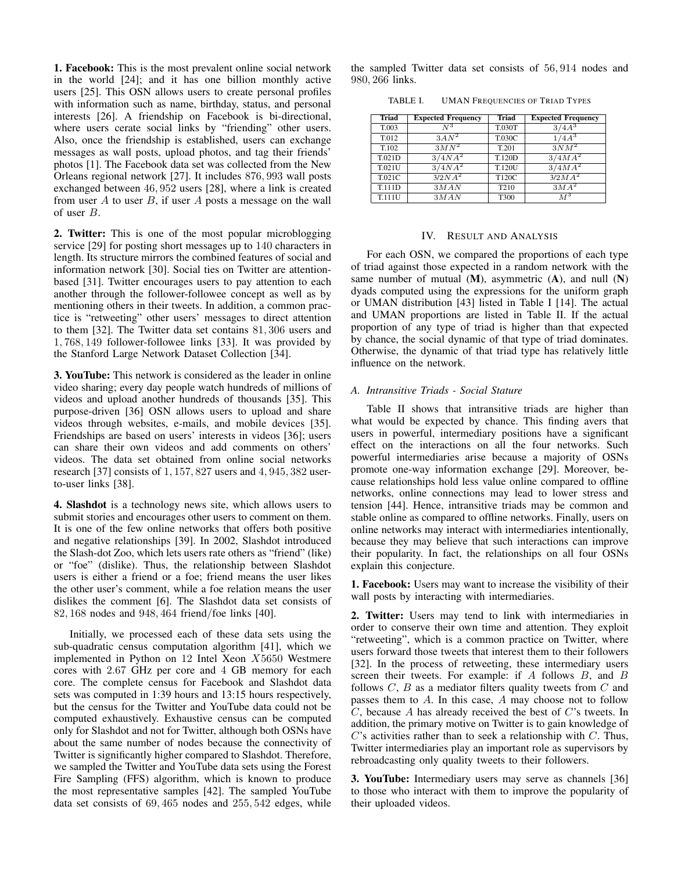1. Facebook: This is the most prevalent online social network in the world [24]; and it has one billion monthly active users [25]. This OSN allows users to create personal profiles with information such as name, birthday, status, and personal interests [26]. A friendship on Facebook is bi-directional, where users cerate social links by "friending" other users. Also, once the friendship is established, users can exchange messages as wall posts, upload photos, and tag their friends' photos [1]. The Facebook data set was collected from the New Orleans regional network [27]. It includes 876, 993 wall posts exchanged between 46, 952 users [28], where a link is created from user  $A$  to user  $B$ , if user  $A$  posts a message on the wall of user B.

2. Twitter: This is one of the most popular microblogging service [29] for posting short messages up to 140 characters in length. Its structure mirrors the combined features of social and information network [30]. Social ties on Twitter are attentionbased [31]. Twitter encourages users to pay attention to each another through the follower-followee concept as well as by mentioning others in their tweets. In addition, a common practice is "retweeting" other users' messages to direct attention to them [32]. The Twitter data set contains 81, 306 users and 1, 768, 149 follower-followee links [33]. It was provided by the Stanford Large Network Dataset Collection [34].

3. YouTube: This network is considered as the leader in online video sharing; every day people watch hundreds of millions of videos and upload another hundreds of thousands [35]. This purpose-driven [36] OSN allows users to upload and share videos through websites, e-mails, and mobile devices [35]. Friendships are based on users' interests in videos [36]; users can share their own videos and add comments on others' videos. The data set obtained from online social networks research [37] consists of 1, 157, 827 users and 4, 945, 382 userto-user links [38].

4. Slashdot is a technology news site, which allows users to submit stories and encourages other users to comment on them. It is one of the few online networks that offers both positive and negative relationships [39]. In 2002, Slashdot introduced the Slash-dot Zoo, which lets users rate others as "friend" (like) or "foe" (dislike). Thus, the relationship between Slashdot users is either a friend or a foe; friend means the user likes the other user's comment, while a foe relation means the user dislikes the comment [6]. The Slashdot data set consists of 82, 168 nodes and 948, 464 friend/foe links [40].

Initially, we processed each of these data sets using the sub-quadratic census computation algorithm [41], which we implemented in Python on 12 Intel Xeon X5650 Westmere cores with 2.67 GHz per core and 4 GB memory for each core. The complete census for Facebook and Slashdot data sets was computed in 1:39 hours and 13:15 hours respectively, but the census for the Twitter and YouTube data could not be computed exhaustively. Exhaustive census can be computed only for Slashdot and not for Twitter, although both OSNs have about the same number of nodes because the connectivity of Twitter is significantly higher compared to Slashdot. Therefore, we sampled the Twitter and YouTube data sets using the Forest Fire Sampling (FFS) algorithm, which is known to produce the most representative samples [42]. The sampled YouTube data set consists of 69, 465 nodes and 255, 542 edges, while the sampled Twitter data set consists of 56, 914 nodes and 980, 266 links.

TABLE I. UMAN FREQUENCIES OF TRIAD TYPES

| <b>Triad</b> | <b>Expected Frequency</b> | <b>Triad</b>     | <b>Expected Frequency</b> |
|--------------|---------------------------|------------------|---------------------------|
| T.003        | $N^3$                     | T.030T           | $3/4A^3$                  |
| T.012        | $3A\overline{N^2}$        | <b>T.030C</b>    | $1/4A^3$                  |
| T.102        | $3MN^2$                   | T.201            | $3NM^2$                   |
| T.021D       | $3/4\overline{NA}^2$      | T.120D           | $3/4MA^2$                 |
| T.021U       | $3/4NA^2$                 | T.120U           | $3/4\overline{MA}^2$      |
| T.021C       | $3/2NA^2$                 | T120C            | $3/2MA^2$                 |
| T.111D       | 3MAN                      | T <sub>210</sub> | $3M\overline{A}^2$        |
| T.111U       | 3MAN                      | T300             | $M^3$                     |

#### IV. RESULT AND ANALYSIS

For each OSN, we compared the proportions of each type of triad against those expected in a random network with the same number of mutual  $(M)$ , asymmetric  $(A)$ , and null  $(N)$ dyads computed using the expressions for the uniform graph or UMAN distribution [43] listed in Table I [14]. The actual and UMAN proportions are listed in Table II. If the actual proportion of any type of triad is higher than that expected by chance, the social dynamic of that type of triad dominates. Otherwise, the dynamic of that triad type has relatively little influence on the network.

#### *A. Intransitive Triads - Social Stature*

Table II shows that intransitive triads are higher than what would be expected by chance. This finding avers that users in powerful, intermediary positions have a significant effect on the interactions on all the four networks. Such powerful intermediaries arise because a majority of OSNs promote one-way information exchange [29]. Moreover, because relationships hold less value online compared to offline networks, online connections may lead to lower stress and tension [44]. Hence, intransitive triads may be common and stable online as compared to offline networks. Finally, users on online networks may interact with intermediaries intentionally, because they may believe that such interactions can improve their popularity. In fact, the relationships on all four OSNs explain this conjecture.

1. Facebook: Users may want to increase the visibility of their wall posts by interacting with intermediaries.

2. Twitter: Users may tend to link with intermediaries in order to conserve their own time and attention. They exploit "retweeting", which is a common practice on Twitter, where users forward those tweets that interest them to their followers [32]. In the process of retweeting, these intermediary users screen their tweets. For example: if A follows B, and B follows  $C$ ,  $B$  as a mediator filters quality tweets from  $C$  and passes them to A. In this case, A may choose not to follow C, because A has already received the best of C's tweets. In addition, the primary motive on Twitter is to gain knowledge of  $C$ 's activities rather than to seek a relationship with  $C$ . Thus, Twitter intermediaries play an important role as supervisors by rebroadcasting only quality tweets to their followers.

3. YouTube: Intermediary users may serve as channels [36] to those who interact with them to improve the popularity of their uploaded videos.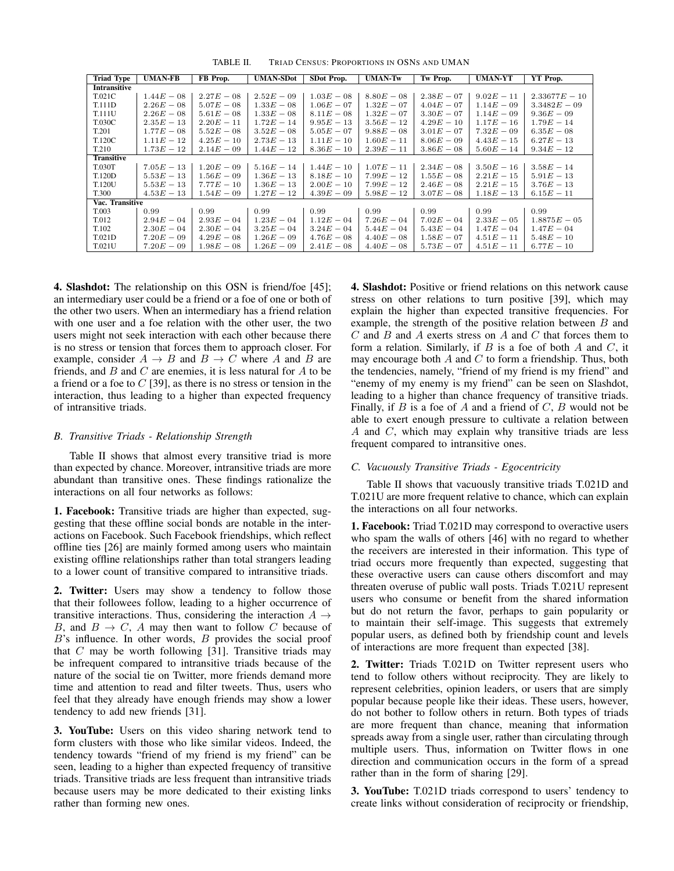| <b>Triad Type</b>   | <b>UMAN-FB</b> | FB Prop.     | <b>UMAN-SDot</b> | SDot Prop.   | <b>UMAN-Tw</b> | Tw Prop.     | <b>UMAN-YT</b> | YT Prop.        |  |
|---------------------|----------------|--------------|------------------|--------------|----------------|--------------|----------------|-----------------|--|
| <b>Intransitive</b> |                |              |                  |              |                |              |                |                 |  |
| T.021C              | $1.44E - 08$   | $2.27E - 08$ | $2.52E - 09$     | $1.03E - 08$ | $8.80E - 08$   | $2.38E - 07$ | $9.02E - 11$   | $2.33677E - 10$ |  |
| T.111D              | $2.26E - 08$   | $5.07E - 08$ | $1.33E - 08$     | $1.06E - 07$ | $1.32E - 07$   | $4.04E - 07$ | $1.14E - 09$   | $3.3482E - 09$  |  |
| T.111U              | $2.26E - 08$   | $5.61E - 08$ | $1.33E - 08$     | $8.11E - 08$ | $1.32E - 07$   | $3.30E - 07$ | $1.14E - 09$   | $9.36E - 09$    |  |
| <b>T.030C</b>       | $2.35E - 13$   | $2.20E - 11$ | $1.72E - 14$     | $9.95E - 13$ | $3.56E - 12$   | $4.29E - 10$ | $1.17E - 16$   | $1.79E - 14$    |  |
| T.201               | $1.77E - 08$   | $5.52E - 08$ | $3.52E - 08$     | $5.05E - 07$ | $9.88E - 08$   | $3.01E - 07$ | $7.32E - 09$   | $6.35E - 08$    |  |
| T.120C              | $1.11E - 12$   | $4.25E - 10$ | $2.73E - 13$     | $1.11E - 10$ | $1.60E - 11$   | $8.06E - 09$ | $4.43E - 15$   | $6.27E - 13$    |  |
| T.210               | $1.73E - 12$   | $2.14E - 09$ | $1.44E - 12$     | $8.36E - 10$ | $2.39E - 11$   | $3.86E - 08$ | $5.60E - 14$   | $9.34E - 12$    |  |
| <b>Transitive</b>   |                |              |                  |              |                |              |                |                 |  |
| <b>T.030T</b>       | $7.05E - 13$   | $1.20E - 09$ | $5.16E - 14$     | $1.44E - 10$ | $1.07E - 11$   | $2.34E - 08$ | $3.50E - 16$   | $3.58E - 14$    |  |
| T.120D              | $5.53E - 13$   | $1.56E - 09$ | $1.36E - 13$     | $8.18E - 10$ | $7.99E - 12$   | $1.55E - 08$ | $2.21E - 15$   | $5.91E - 13$    |  |
| <b>T.120U</b>       | $5.53E - 13$   | $7.77E - 10$ | $1.36E - 13$     | $2.00E - 10$ | $7.99E - 12$   | $2.46E - 08$ | $2.21E - 15$   | $3.76E - 13$    |  |
| T.300               | $4.53E - 13$   | $1.54E - 09$ | $1.27E - 12$     | $4.39E - 09$ | $5.98E - 12$   | $3.07E - 08$ | $1.18E - 13$   | $6.15E - 11$    |  |
| Vac. Transitive     |                |              |                  |              |                |              |                |                 |  |
| T.003               | 0.99           | 0.99         | 0.99             | 0.99         | 0.99           | 0.99         | 0.99           | 0.99            |  |
| T.012               | $2.94E - 04$   | $2.93E - 04$ | $1.23E - 04$     | $1.12E - 04$ | $7.26E - 04$   | $7.02E - 04$ | $2.33E - 05$   | $1.8875E - 05$  |  |
| T.102               | $2.30E - 04$   | $2.30E - 04$ | $3.25E - 04$     | $3.24E - 04$ | $5.44E - 04$   | $5.43E - 04$ | $1.47E - 04$   | $1.47E - 04$    |  |
| T.021D              | $7.20E - 09$   | $4.29E - 08$ | $1.26E - 09$     | $4.76E - 08$ | $4.40E - 08$   | $1.58E - 07$ | $4.51E - 11$   | $5.48E - 10$    |  |
| T.021U              | $7.20E - 09$   | $1.98E - 08$ | $1.26E - 09$     | $2.41E - 08$ | $4.40E - 08$   | $5.73E - 07$ | $4.51E - 11$   | $6.77E - 10$    |  |

TABLE II. TRIAD CENSUS: PROPORTIONS IN OSNS AND UMAN

4. Slashdot: The relationship on this OSN is friend/foe [45]; an intermediary user could be a friend or a foe of one or both of the other two users. When an intermediary has a friend relation with one user and a foe relation with the other user, the two users might not seek interaction with each other because there is no stress or tension that forces them to approach closer. For example, consider  $A \rightarrow B$  and  $B \rightarrow C$  where A and B are friends, and  $B$  and  $C$  are enemies, it is less natural for  $A$  to be a friend or a foe to  $C$  [39], as there is no stress or tension in the interaction, thus leading to a higher than expected frequency of intransitive triads.

#### *B. Transitive Triads - Relationship Strength*

Table II shows that almost every transitive triad is more than expected by chance. Moreover, intransitive triads are more abundant than transitive ones. These findings rationalize the interactions on all four networks as follows:

1. Facebook: Transitive triads are higher than expected, suggesting that these offline social bonds are notable in the interactions on Facebook. Such Facebook friendships, which reflect offline ties [26] are mainly formed among users who maintain existing offline relationships rather than total strangers leading to a lower count of transitive compared to intransitive triads.

2. Twitter: Users may show a tendency to follow those that their followees follow, leading to a higher occurrence of transitive interactions. Thus, considering the interaction  $A \rightarrow$ B, and  $B \to C$ , A may then want to follow C because of  $B$ 's influence. In other words,  $B$  provides the social proof that  $C$  may be worth following [31]. Transitive triads may be infrequent compared to intransitive triads because of the nature of the social tie on Twitter, more friends demand more time and attention to read and filter tweets. Thus, users who feel that they already have enough friends may show a lower tendency to add new friends [31].

3. YouTube: Users on this video sharing network tend to form clusters with those who like similar videos. Indeed, the tendency towards "friend of my friend is my friend" can be seen, leading to a higher than expected frequency of transitive triads. Transitive triads are less frequent than intransitive triads because users may be more dedicated to their existing links rather than forming new ones.

4. Slashdot: Positive or friend relations on this network cause stress on other relations to turn positive [39], which may explain the higher than expected transitive frequencies. For example, the strength of the positive relation between  $B$  and  $C$  and  $B$  and  $A$  exerts stress on  $A$  and  $C$  that forces them to form a relation. Similarly, if  $B$  is a foe of both  $A$  and  $C$ , it may encourage both  $A$  and  $C$  to form a friendship. Thus, both the tendencies, namely, "friend of my friend is my friend" and "enemy of my enemy is my friend" can be seen on Slashdot, leading to a higher than chance frequency of transitive triads. Finally, if  $B$  is a foe of  $A$  and a friend of  $C$ ,  $B$  would not be able to exert enough pressure to cultivate a relation between A and C, which may explain why transitive triads are less frequent compared to intransitive ones.

#### *C. Vacuously Transitive Triads - Egocentricity*

Table II shows that vacuously transitive triads T.021D and T.021U are more frequent relative to chance, which can explain the interactions on all four networks.

1. Facebook: Triad T.021D may correspond to overactive users who spam the walls of others [46] with no regard to whether the receivers are interested in their information. This type of triad occurs more frequently than expected, suggesting that these overactive users can cause others discomfort and may threaten overuse of public wall posts. Triads T.021U represent users who consume or benefit from the shared information but do not return the favor, perhaps to gain popularity or to maintain their self-image. This suggests that extremely popular users, as defined both by friendship count and levels of interactions are more frequent than expected [38].

2. Twitter: Triads T.021D on Twitter represent users who tend to follow others without reciprocity. They are likely to represent celebrities, opinion leaders, or users that are simply popular because people like their ideas. These users, however, do not bother to follow others in return. Both types of triads are more frequent than chance, meaning that information spreads away from a single user, rather than circulating through multiple users. Thus, information on Twitter flows in one direction and communication occurs in the form of a spread rather than in the form of sharing [29].

3. YouTube: T.021D triads correspond to users' tendency to create links without consideration of reciprocity or friendship,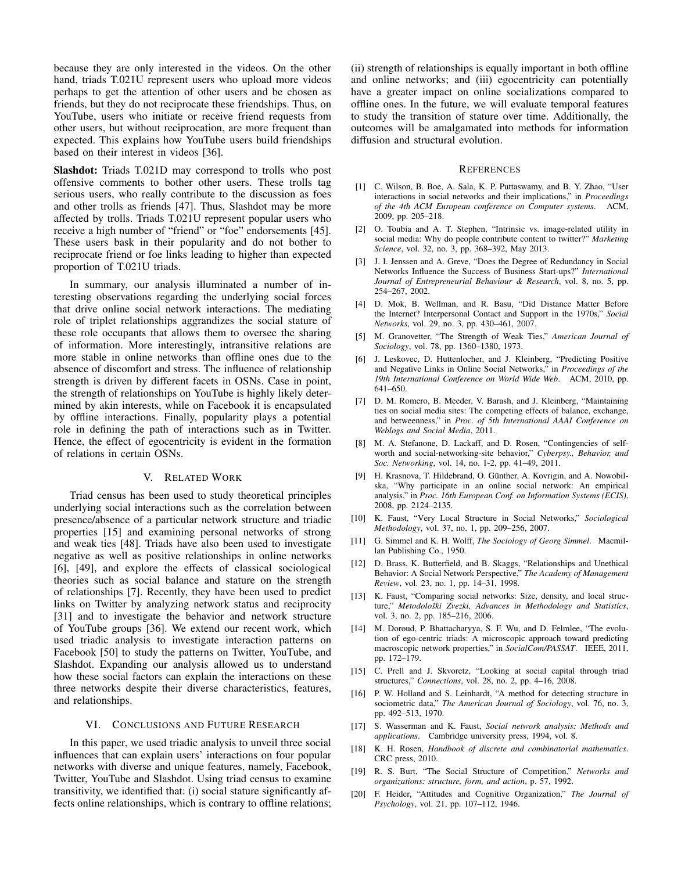because they are only interested in the videos. On the other hand, triads T.021U represent users who upload more videos perhaps to get the attention of other users and be chosen as friends, but they do not reciprocate these friendships. Thus, on YouTube, users who initiate or receive friend requests from other users, but without reciprocation, are more frequent than expected. This explains how YouTube users build friendships based on their interest in videos [36].

Slashdot: Triads T.021D may correspond to trolls who post offensive comments to bother other users. These trolls tag serious users, who really contribute to the discussion as foes and other trolls as friends [47]. Thus, Slashdot may be more affected by trolls. Triads T.021U represent popular users who receive a high number of "friend" or "foe" endorsements [45]. These users bask in their popularity and do not bother to reciprocate friend or foe links leading to higher than expected proportion of T.021U triads.

In summary, our analysis illuminated a number of interesting observations regarding the underlying social forces that drive online social network interactions. The mediating role of triplet relationships aggrandizes the social stature of these role occupants that allows them to oversee the sharing of information. More interestingly, intransitive relations are more stable in online networks than offline ones due to the absence of discomfort and stress. The influence of relationship strength is driven by different facets in OSNs. Case in point, the strength of relationships on YouTube is highly likely determined by akin interests, while on Facebook it is encapsulated by offline interactions. Finally, popularity plays a potential role in defining the path of interactions such as in Twitter. Hence, the effect of egocentricity is evident in the formation of relations in certain OSNs.

#### V. RELATED WORK

Triad census has been used to study theoretical principles underlying social interactions such as the correlation between presence/absence of a particular network structure and triadic properties [15] and examining personal networks of strong and weak ties [48]. Triads have also been used to investigate negative as well as positive relationships in online networks [6], [49], and explore the effects of classical sociological theories such as social balance and stature on the strength of relationships [7]. Recently, they have been used to predict links on Twitter by analyzing network status and reciprocity [31] and to investigate the behavior and network structure of YouTube groups [36]. We extend our recent work, which used triadic analysis to investigate interaction patterns on Facebook [50] to study the patterns on Twitter, YouTube, and Slashdot. Expanding our analysis allowed us to understand how these social factors can explain the interactions on these three networks despite their diverse characteristics, features, and relationships.

#### VI. CONCLUSIONS AND FUTURE RESEARCH

In this paper, we used triadic analysis to unveil three social influences that can explain users' interactions on four popular networks with diverse and unique features, namely, Facebook, Twitter, YouTube and Slashdot. Using triad census to examine transitivity, we identified that: (i) social stature significantly affects online relationships, which is contrary to offline relations;

(ii) strength of relationships is equally important in both offline and online networks; and (iii) egocentricity can potentially have a greater impact on online socializations compared to offline ones. In the future, we will evaluate temporal features to study the transition of stature over time. Additionally, the outcomes will be amalgamated into methods for information diffusion and structural evolution.

#### **REFERENCES**

- [1] C. Wilson, B. Boe, A. Sala, K. P. Puttaswamy, and B. Y. Zhao, "User interactions in social networks and their implications," in *Proceedings of the 4th ACM European conference on Computer systems*. ACM, 2009, pp. 205–218.
- [2] O. Toubia and A. T. Stephen, "Intrinsic vs. image-related utility in social media: Why do people contribute content to twitter?" *Marketing Science*, vol. 32, no. 3, pp. 368–392, May 2013.
- [3] J. I. Jenssen and A. Greve, "Does the Degree of Redundancy in Social Networks Influence the Success of Business Start-ups?" *International Journal of Entrepreneurial Behaviour & Research*, vol. 8, no. 5, pp. 254–267, 2002.
- [4] D. Mok, B. Wellman, and R. Basu, "Did Distance Matter Before the Internet? Interpersonal Contact and Support in the 1970s," *Social Networks*, vol. 29, no. 3, pp. 430–461, 2007.
- [5] M. Granovetter, "The Strength of Weak Ties," *American Journal of Sociology*, vol. 78, pp. 1360–1380, 1973.
- [6] J. Leskovec, D. Huttenlocher, and J. Kleinberg, "Predicting Positive and Negative Links in Online Social Networks," in *Proceedings of the 19th International Conference on World Wide Web*. ACM, 2010, pp. 641–650.
- [7] D. M. Romero, B. Meeder, V. Barash, and J. Kleinberg, "Maintaining ties on social media sites: The competing effects of balance, exchange, and betweenness," in *Proc. of 5th International AAAI Conference on Weblogs and Social Media*, 2011.
- [8] M. A. Stefanone, D. Lackaff, and D. Rosen, "Contingencies of selfworth and social-networking-site behavior," *Cyberpsy., Behavior, and Soc. Networking*, vol. 14, no. 1-2, pp. 41–49, 2011.
- [9] H. Krasnova, T. Hildebrand, O. Günther, A. Kovrigin, and A. Nowobilska, "Why participate in an online social network: An empirical analysis," in *Proc. 16th European Conf. on Information Systems (ECIS)*, 2008, pp. 2124–2135.
- [10] K. Faust, "Very Local Structure in Social Networks," *Sociological Methodology*, vol. 37, no. 1, pp. 209–256, 2007.
- [11] G. Simmel and K. H. Wolff, *The Sociology of Georg Simmel*. Macmillan Publishing Co., 1950.
- [12] D. Brass, K. Butterfield, and B. Skaggs, "Relationships and Unethical Behavior: A Social Network Perspective," *The Academy of Management Review*, vol. 23, no. 1, pp. 14–31, 1998.
- [13] K. Faust, "Comparing social networks: Size, density, and local structure," Metodološki Zvezki, Advances in Methodology and Statistics, vol. 3, no. 2, pp. 185–216, 2006.
- [14] M. Doroud, P. Bhattacharyya, S. F. Wu, and D. Felmlee, "The evolution of ego-centric triads: A microscopic approach toward predicting macroscopic network properties," in *SocialCom/PASSAT*. IEEE, 2011, pp. 172–179.
- [15] C. Prell and J. Skvoretz, "Looking at social capital through triad structures," *Connections*, vol. 28, no. 2, pp. 4–16, 2008.
- [16] P. W. Holland and S. Leinhardt, "A method for detecting structure in sociometric data," *The American Journal of Sociology*, vol. 76, no. 3, pp. 492–513, 1970.
- [17] S. Wasserman and K. Faust, *Social network analysis: Methods and applications*. Cambridge university press, 1994, vol. 8.
- [18] K. H. Rosen, *Handbook of discrete and combinatorial mathematics*. CRC press, 2010.
- [19] R. S. Burt, "The Social Structure of Competition," *Networks and organizations: structure, form, and action*, p. 57, 1992.
- [20] F. Heider, "Attitudes and Cognitive Organization," *The Journal of Psychology*, vol. 21, pp. 107–112, 1946.